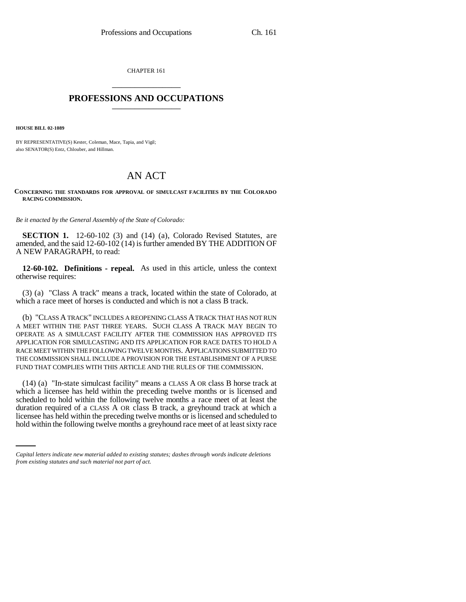CHAPTER 161 \_\_\_\_\_\_\_\_\_\_\_\_\_\_\_

## **PROFESSIONS AND OCCUPATIONS** \_\_\_\_\_\_\_\_\_\_\_\_\_\_\_

**HOUSE BILL 02-1089**

BY REPRESENTATIVE(S) Kester, Coleman, Mace, Tapia, and Vigil; also SENATOR(S) Entz, Chlouber, and Hillman.

## AN ACT

## **CONCERNING THE STANDARDS FOR APPROVAL OF SIMULCAST FACILITIES BY THE COLORADO RACING COMMISSION.**

*Be it enacted by the General Assembly of the State of Colorado:*

**SECTION 1.** 12-60-102 (3) and (14) (a), Colorado Revised Statutes, are amended, and the said 12-60-102 (14) is further amended BY THE ADDITION OF A NEW PARAGRAPH, to read:

**12-60-102. Definitions - repeal.** As used in this article, unless the context otherwise requires:

(3) (a) "Class A track" means a track, located within the state of Colorado, at which a race meet of horses is conducted and which is not a class B track.

(b) "CLASS A TRACK" INCLUDES A REOPENING CLASS A TRACK THAT HAS NOT RUN A MEET WITHIN THE PAST THREE YEARS. SUCH CLASS A TRACK MAY BEGIN TO OPERATE AS A SIMULCAST FACILITY AFTER THE COMMISSION HAS APPROVED ITS APPLICATION FOR SIMULCASTING AND ITS APPLICATION FOR RACE DATES TO HOLD A RACE MEET WITHIN THE FOLLOWING TWELVE MONTHS. APPLICATIONS SUBMITTED TO THE COMMISSION SHALL INCLUDE A PROVISION FOR THE ESTABLISHMENT OF A PURSE FUND THAT COMPLIES WITH THIS ARTICLE AND THE RULES OF THE COMMISSION.

duration required of a CLASS A OR class B track, a greyhound track at which a (14) (a) "In-state simulcast facility" means a CLASS A OR class B horse track at which a licensee has held within the preceding twelve months or is licensed and scheduled to hold within the following twelve months a race meet of at least the licensee has held within the preceding twelve months or is licensed and scheduled to hold within the following twelve months a greyhound race meet of at least sixty race

*Capital letters indicate new material added to existing statutes; dashes through words indicate deletions from existing statutes and such material not part of act.*